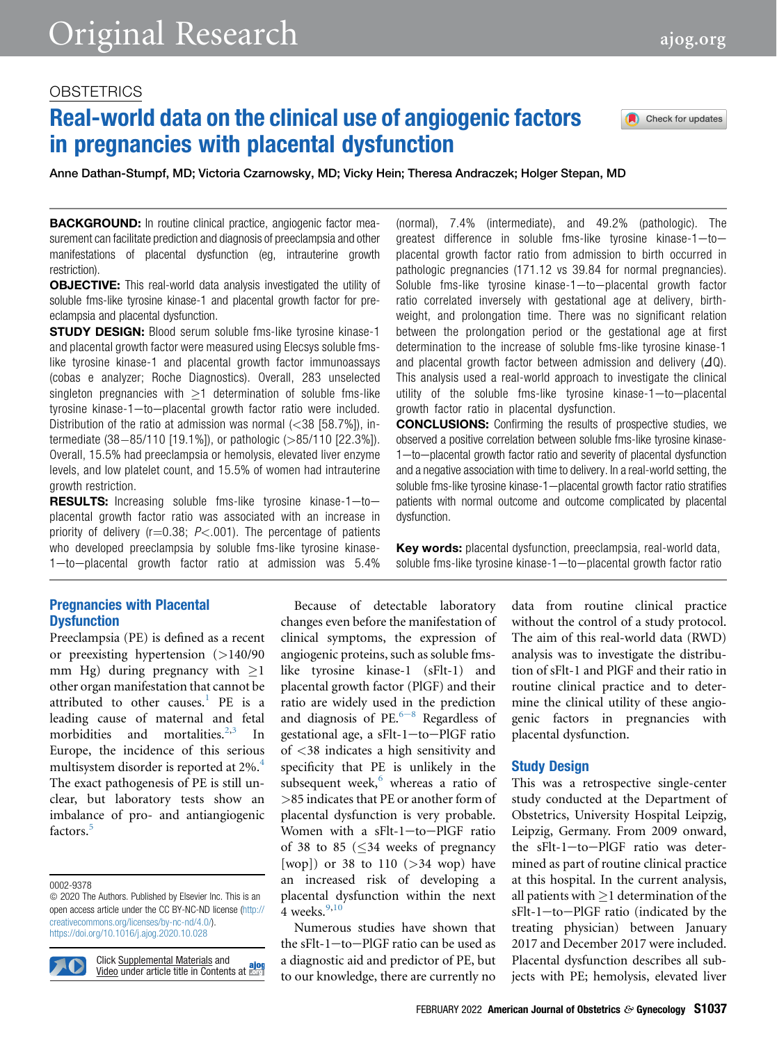# Real-world data on the clinical use of angiogenic factors in pregnancies with placental dysfunction

Anne Dathan-Stumpf, MD; Victoria Czarnowsky, MD; Vicky Hein; Theresa Andraczek; Holger Stepan, MD

**BACKGROUND:** In routine clinical practice, angiogenic factor measurement can facilitate prediction and diagnosis of preeclampsia and other manifestations of placental dysfunction (eg, intrauterine growth restriction).

**OBJECTIVE:** This real-world data analysis investigated the utility of soluble fms-like tyrosine kinase-1 and placental growth factor for preeclampsia and placental dysfunction.

**STUDY DESIGN:** Blood serum soluble fms-like tyrosine kinase-1 and placental growth factor were measured using Elecsys soluble fmslike tyrosine kinase-1 and placental growth factor immunoassays (cobas e analyzer; Roche Diagnostics). Overall, 283 unselected singleton pregnancies with  $\geq$ 1 determination of soluble fms-like tyrosine kinase-1-to-placental growth factor ratio were included. Distribution of the ratio at admission was normal  $(<$ 38 [58.7%]), intermediate  $(38-85/110$  [19.1%]), or pathologic ( $>85/110$  [22.3%]). Overall, 15.5% had preeclampsia or hemolysis, elevated liver enzyme levels, and low platelet count, and 15.5% of women had intrauterine growth restriction.

**RESULTS:** Increasing soluble fms-like tyrosine kinase- $1-t$ oplacental growth factor ratio was associated with an increase in priority of delivery ( $r=0.38$ ;  $P<.001$ ). The percentage of patients who developed preeclampsia by soluble fms-like tyrosine kinase-1-to-placental growth factor ratio at admission was 5.4%

# Pregnancies with Placental **Dysfunction**

Preeclampsia (PE) is defined as a recent or preexisting hypertension (>140/90 mm Hg) during pregnancy with  $\geq$ 1 other organ manifestation that cannot be attributed to other causes.<sup>[1](#page-10-0)</sup> PE is a leading cause of maternal and fetal morbidities and mortalities. $2,3$  $2,3$  $2,3$ Europe, the incidence of this serious multisystem disorder is reported at 2%.<sup>[4](#page-10-3)</sup> The exact pathogenesis of PE is still unclear, but laboratory tests show an imbalance of pro- and antiangiogenic factors.<sup>[5](#page-10-4)</sup>

0002-9378

**EXP** 

Click Supplemental Materials and Video under article title in Contents at **EDIT** 

Because of detectable laboratory changes even before the manifestation of clinical symptoms, the expression of angiogenic proteins, such as soluble fmslike tyrosine kinase-1 (sFlt-1) and placental growth factor (PlGF) and their ratio are widely used in the prediction and diagnosis of PE. $6-8$  R[e](#page-10-5)gardless of gestational age, a sFlt-1-to-PlGF ratio of <38 indicates a high sensitivity and specificity that PE is unlikely in the subsequent week, $6$  whereas a ratio of >85 indicates that PE or another form of placental dysfunction is very probable. Women with a sFlt-1-to-PlGF ratio of 38 to 85  $\leq$  34 weeks of pregnancy [wop]) or 38 to 110 ( $>$ 34 wop) have an increased risk of developing a placental dysfunction within the next 4 weeks. $9,10$  $9,10$  $9,10$ 

Numerous studies have shown that the  $sF1-to-P1GF$  ratio can be used as a diagnostic aid and predictor of PE, but to our knowledge, there are currently no

(normal), 7.4% (intermediate), and 49.2% (pathologic). The greatest difference in soluble fms-like tyrosine kinase- $1$ -toplacental growth factor ratio from admission to birth occurred in pathologic pregnancies (171.12 vs 39.84 for normal pregnancies). Soluble fms-like tyrosine kinase-1-to-placental growth factor ratio correlated inversely with gestational age at delivery, birthweight, and prolongation time. There was no significant relation between the prolongation period or the gestational age at first determination to the increase of soluble fms-like tyrosine kinase-1 and placental growth factor between admission and delivery  $(\Delta Q)$ . This analysis used a real-world approach to investigate the clinical utility of the soluble fms-like tyrosine kinase- $1$ —to-placental growth factor ratio in placental dysfunction.

CONCLUSIONS: Confirming the results of prospective studies, we observed a positive correlation between soluble fms-like tyrosine kinase- $1$ —to—placental growth factor ratio and severity of placental dysfunction and a negative association with time to delivery. In a real-world setting, the soluble fms-like tyrosine kinase-1-placental growth factor ratio stratifies patients with normal outcome and outcome complicated by placental dysfunction.

Key words: placental dysfunction, preeclampsia, real-world data, soluble fms-like tyrosine kinase- $1$ —to—placental growth factor ratio

> data from routine clinical practice without the control of a study protocol. The aim of this real-world data (RWD) analysis was to investigate the distribution of sFlt-1 and PlGF and their ratio in routine clinical practice and to determine the clinical utility of these angiogenic factors in pregnancies with placental dysfunction.

#### Study Design

This was a retrospective single-center study conducted at the Department of Obstetrics, University Hospital Leipzig, Leipzig, Germany. From 2009 onward, the  $sFlt-1$ -to-PlGF ratio was determined as part of routine clinical practice at this hospital. In the current analysis, all patients with  $\geq 1$  determination of the sFlt-1-to-PlGF ratio (indicated by the treating physician) between January 2017 and December 2017 were included. Placental dysfunction describes all subjects with PE; hemolysis, elevated liver



Check for updates

 $©$  2020 The Authors. Published by Elsevier Inc. This is an open access article under the CC BY-NC-ND license ([http://](http://creativecommons.org/licenses/by-nc-nd/4.0/) [creativecommons.org/licenses/by-nc-nd/4.0/\)](http://creativecommons.org/licenses/by-nc-nd/4.0/). <https://doi.org/10.1016/j.ajog.2020.10.028>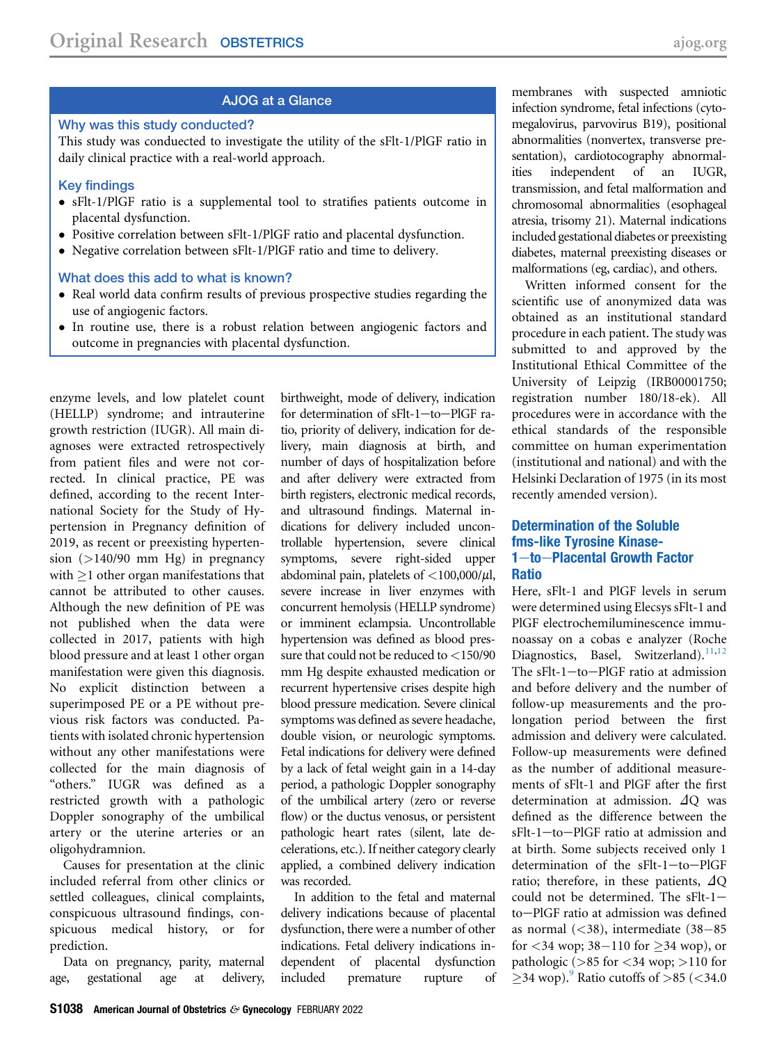# AJOG at a Glance

# Why was this study conducted?

This study was conduected to investigate the utility of the sFlt-1/PlGF ratio in daily clinical practice with a real-world approach.

#### Key findings

- sFlt-1/PlGF ratio is a supplemental tool to stratifies patients outcome in placental dysfunction.
- Positive correlation between sFlt-1/PlGF ratio and placental dysfunction.
- Negative correlation between sFlt-1/PlGF ratio and time to delivery.

#### What does this add to what is known?

- Real world data confirm results of previous prospective studies regarding the use of angiogenic factors.
- In routine use, there is a robust relation between angiogenic factors and outcome in pregnancies with placental dysfunction.

enzyme levels, and low platelet count (HELLP) syndrome; and intrauterine growth restriction (IUGR). All main diagnoses were extracted retrospectively from patient files and were not corrected. In clinical practice, PE was defined, according to the recent International Society for the Study of Hypertension in Pregnancy definition of 2019, as recent or preexisting hypertension (>140/90 mm Hg) in pregnancy with  $>1$  other organ manifestations that cannot be attributed to other causes. Although the new definition of PE was not published when the data were collected in 2017, patients with high blood pressure and at least 1 other organ manifestation were given this diagnosis. No explicit distinction between a superimposed PE or a PE without previous risk factors was conducted. Patients with isolated chronic hypertension without any other manifestations were collected for the main diagnosis of "others." IUGR was defined as a restricted growth with a pathologic Doppler sonography of the umbilical artery or the uterine arteries or an oligohydramnion.

Causes for presentation at the clinic included referral from other clinics or settled colleagues, clinical complaints, conspicuous ultrasound findings, conspicuous medical history, or for prediction.

Data on pregnancy, parity, maternal age, gestational age at delivery, birthweight, mode of delivery, indication for determination of sFlt-1-to-PlGF ratio, priority of delivery, indication for delivery, main diagnosis at birth, and number of days of hospitalization before and after delivery were extracted from birth registers, electronic medical records, and ultrasound findings. Maternal indications for delivery included uncontrollable hypertension, severe clinical symptoms, severe right-sided upper abdominal pain, platelets of  $\langle 100,000/\mu l,$ severe increase in liver enzymes with concurrent hemolysis (HELLP syndrome) or imminent eclampsia. Uncontrollable hypertension was defined as blood pressure that could not be reduced to <150/90 mm Hg despite exhausted medication or recurrent hypertensive crises despite high blood pressure medication. Severe clinical symptoms was defined as severe headache, double vision, or neurologic symptoms. Fetal indications for delivery were defined by a lack of fetal weight gain in a 14-day period, a pathologic Doppler sonography of the umbilical artery (zero or reverse flow) or the ductus venosus, or persistent pathologic heart rates (silent, late decelerations, etc.). If neither category clearly applied, a combined delivery indication was recorded.

In addition to the fetal and maternal delivery indications because of placental dysfunction, there were a number of other indications. Fetal delivery indications independent of placental dysfunction included premature rupture of membranes with suspected amniotic infection syndrome, fetal infections (cytomegalovirus, parvovirus B19), positional abnormalities (nonvertex, transverse presentation), cardiotocography abnormalities independent of an IUGR, transmission, and fetal malformation and chromosomal abnormalities (esophageal atresia, trisomy 21). Maternal indications included gestational diabetes or preexisting diabetes, maternal preexisting diseases or malformations (eg, cardiac), and others.

Written informed consent for the scientific use of anonymized data was obtained as an institutional standard procedure in each patient. The study was submitted to and approved by the Institutional Ethical Committee of the University of Leipzig (IRB00001750; registration number 180/18-ek). All procedures were in accordance with the ethical standards of the responsible committee on human experimentation (institutional and national) and with the Helsinki Declaration of 1975 (in its most recently amended version).

# Determination of the Soluble fms-like Tyrosine Kinase-1-to-Placental Growth Factor Ratio

Here, sFlt-1 and PlGF levels in serum were determined using Elecsys sFlt-1 and PlGF electrochemiluminescence immunoassay on a cobas e analyzer (Roche Diagnostics, Basel, Switzerland).<sup>[11](#page-10-8),[12](#page-10-9)</sup> The  $sF1-to-P1GF$  ratio at admission and before delivery and the number of follow-up measurements and the prolongation period between the first admission and delivery were calculated. Follow-up measurements were defined as the number of additional measurements of sFlt-1 and PlGF after the first determination at admission.  $\Delta$ O was defined as the difference between the  $sF1-to-P1GF$  ratio at admission and at birth. Some subjects received only 1 determination of the  $sFlt-1$ -to-PlGF ratio; therefore, in these patients,  $\Delta Q$ could not be determined. The  $sFlt-1$ to-PlGF ratio at admission was defined as normal  $(<$ 38), intermediate  $(38-85)$ for  $<34$  wop;  $38-110$  for  $>34$  wop), or pathologic ( $>85$  for  $<$  34 wop;  $>$  110 for  $\geq$ 34 wop).<sup>[9](#page-10-6)</sup> Ratio cutoffs of >85 (<34.0)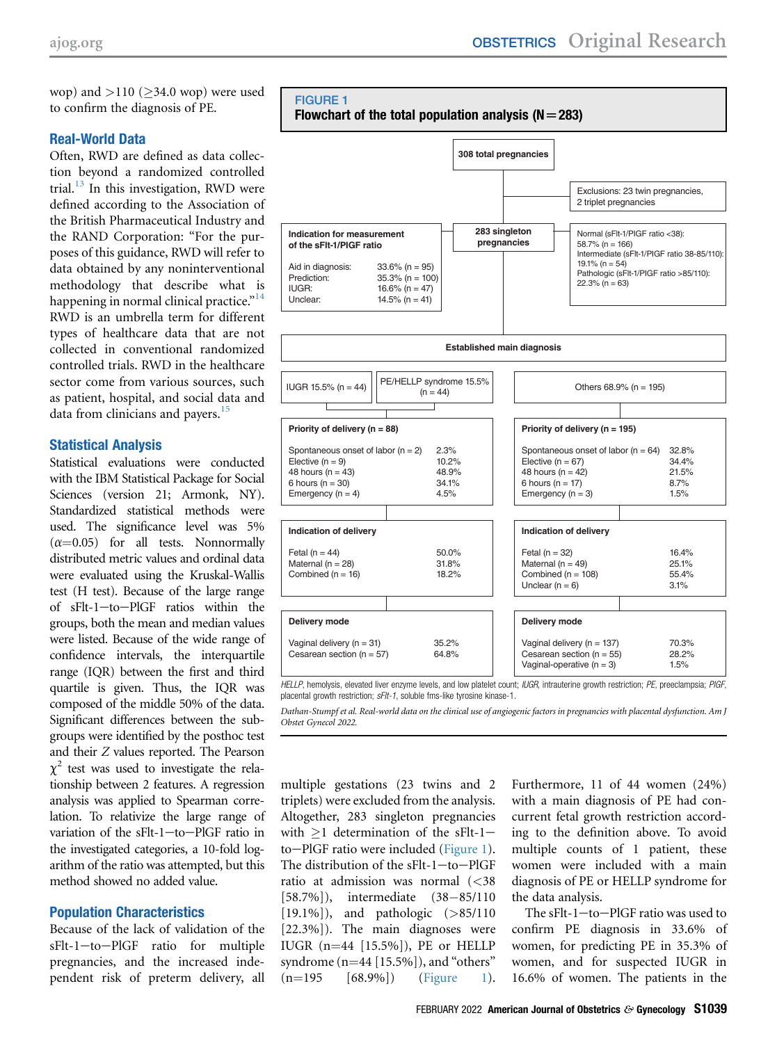wop) and  $>110$  ( $\geq$ 34.0 wop) were used to confirm the diagnosis of PE.

#### Real-World Data

Often, RWD are defined as data collection beyond a randomized controlled trial. $^{13}$  $^{13}$  $^{13}$  In this investigation, RWD were defined according to the Association of the British Pharmaceutical Industry and the RAND Corporation: "For the purposes of this guidance, RWD will refer to data obtained by any noninterventional methodology that describe what is happening in normal clinical practice."<sup>[14](#page-10-11)</sup> RWD is an umbrella term for different types of healthcare data that are not collected in conventional randomized controlled trials. RWD in the healthcare sector come from various sources, such as patient, hospital, and social data and data from clinicians and payers.<sup>[15](#page-10-12)</sup>

#### Statistical Analysis

Statistical evaluations were conducted with the IBM Statistical Package for Social Sciences (version 21; Armonk, NY). Standardized statistical methods were used. The significance level was 5%  $(\alpha=0.05)$  for all tests. Nonnormally distributed metric values and ordinal data were evaluated using the Kruskal-Wallis test (H test). Because of the large range of sFlt-1-to-PlGF ratios within the groups, both the mean and median values were listed. Because of the wide range of confidence intervals, the interquartile range (IQR) between the first and third quartile is given. Thus, the IQR was composed of the middle 50% of the data. Significant differences between the subgroups were identified by the posthoc test and their Z values reported. The Pearson  $\chi^2$  test was used to investigate the relationship between 2 features. A regression analysis was applied to Spearman correlation. To relativize the large range of variation of the  $sFlt-1$ -to-PlGF ratio in the investigated categories, a 10-fold logarithm of the ratio was attempted, but this method showed no added value.

# Population Characteristics

Because of the lack of validation of the sFlt-1-to-PlGF ratio for multiple pregnancies, and the increased independent risk of preterm delivery, all

<span id="page-2-0"></span>

placental growth restriction;  $sF/t-1$ , soluble fms-like tyrosine kinase-1.

Dathan-Stumpf et al. Real-world data on the clinical use of angiogenic factors in pregnancies with placental dysfunction. Am J Obstet Gynecol 2022.

multiple gestations (23 twins and 2 triplets) were excluded from the analysis. Altogether, 283 singleton pregnancies with  $>1$  determination of the sFlt-1 $to-PIGF$  ratio were included [\(Figure 1\)](#page-2-0). The distribution of the  $sFlt-1$ -to-PlGF ratio at admission was normal (<38  $[58.7\%]$ , intermediate  $(38-85/110)$ [19.1%]), and pathologic (>85/110) [22.3%]). The main diagnoses were IUGR  $(n=44$  [15.5%]), PE or HELLP syndrome  $(n=44 [15.5\%])$ , and "others"<br> $(n=195 [68.9\%])$  (Figure 1).  $(68.9\%)$ 

Furthermore, 11 of 44 women (24%) with a main diagnosis of PE had concurrent fetal growth restriction according to the definition above. To avoid multiple counts of 1 patient, these women were included with a main diagnosis of PE or HELLP syndrome for the data analysis.

The  $sF$ lt-1-to-PlGF ratio was used to confirm PE diagnosis in 33.6% of women, for predicting PE in 35.3% of women, and for suspected IUGR in 16.6% of women. The patients in the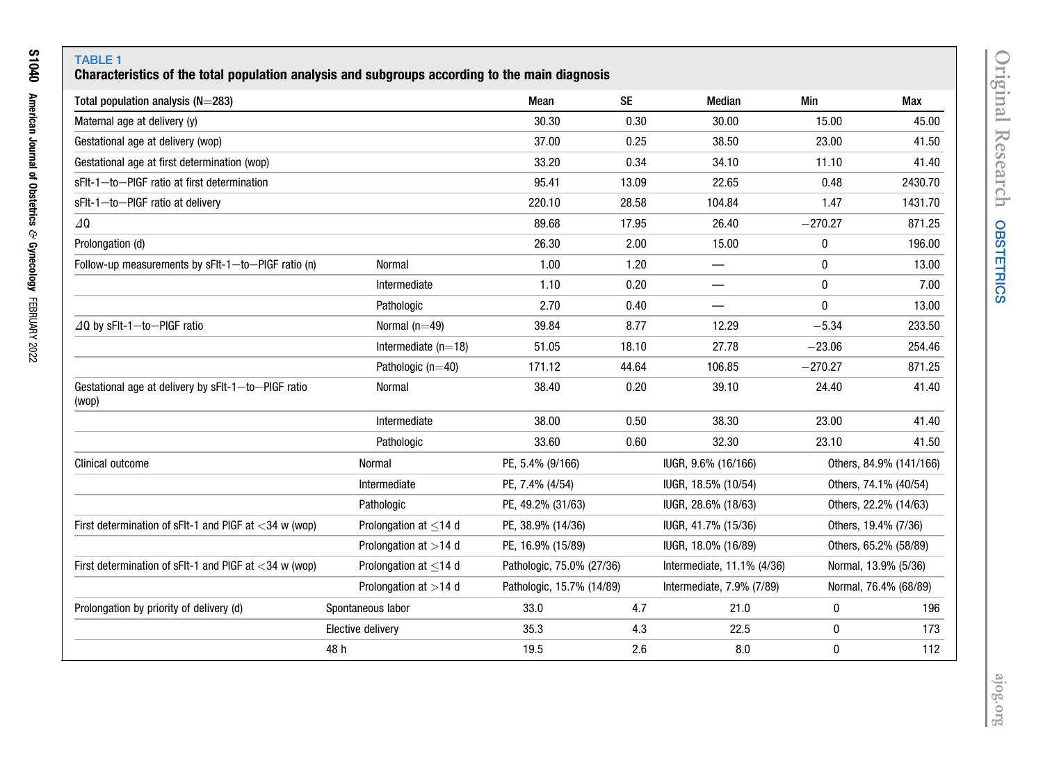# TABLE 1 Characteristics of the total population analysis and subgroups according to the main diagnosis

<span id="page-3-0"></span>

| Total population analysis $(N=283)$                          |                          | Mean                      | <b>SE</b> | <b>Median</b>              | Min          | Max                     |
|--------------------------------------------------------------|--------------------------|---------------------------|-----------|----------------------------|--------------|-------------------------|
| Maternal age at delivery (y)                                 |                          | 30.30                     | 0.30      | 30.00                      | 15.00        | 45.00                   |
| Gestational age at delivery (wop)                            |                          | 37.00                     | 0.25      | 38.50                      | 23.00        | 41.50                   |
| Gestational age at first determination (wop)                 |                          | 33.20                     | 0.34      | 34.10                      | 11.10        | 41.40                   |
| sFIt-1-to-PIGF ratio at first determination                  |                          | 95.41                     | 13.09     | 22.65                      | 0.48         | 2430.70                 |
| sFlt-1-to-PIGF ratio at delivery                             |                          | 220.10                    | 28.58     | 104.84                     | 1.47         | 1431.70                 |
| 40                                                           |                          | 89.68                     | 17.95     | 26.40                      | $-270.27$    | 871.25                  |
| Prolongation (d)                                             |                          | 26.30                     | 2.00      | 15.00                      | 0            | 196.00                  |
| Follow-up measurements by sFIt-1-to-PIGF ratio (n)           | Normal                   | 1.00                      | 1.20      |                            | 0            | 13.00                   |
|                                                              | Intermediate             | 1.10                      | 0.20      |                            | $\mathbf{0}$ | 7.00                    |
|                                                              | Pathologic               | 2.70                      | 0.40      | —                          | 0            | 13.00                   |
| $\Delta$ Q by sFlt-1-to-PIGF ratio                           | Normal $(n=49)$          | 39.84                     | 8.77      | 12.29                      | $-5.34$      | 233.50                  |
|                                                              | Intermediate $(n=18)$    | 51.05                     | 18.10     | 27.78                      | $-23.06$     | 254.46                  |
|                                                              | Pathologic $(n=40)$      | 171.12                    | 44.64     | 106.85                     | $-270.27$    | 871.25                  |
| Gestational age at delivery by sFIt-1-to-PIGF ratio<br>(wop) | Normal                   | 38.40                     | 0.20      | 39.10                      | 24.40        | 41.40                   |
|                                                              | Intermediate             | 38.00                     | 0.50      | 38.30                      | 23.00        | 41.40                   |
|                                                              | Pathologic               | 33.60                     | 0.60      | 32.30                      | 23.10        | 41.50                   |
| <b>Clinical outcome</b>                                      | Normal                   | PE, 5.4% (9/166)          |           | IUGR, 9.6% (16/166)        |              | Others, 84.9% (141/166) |
|                                                              | Intermediate             | PE, 7.4% (4/54)           |           | IUGR, 18.5% (10/54)        |              | Others, 74.1% (40/54)   |
|                                                              | Pathologic               | PE, 49.2% (31/63)         |           | IUGR, 28.6% (18/63)        |              | Others, 22.2% (14/63)   |
| First determination of sFIt-1 and PIGF at $<$ 34 w (wop)     | Prolongation at $<$ 14 d | PE, 38.9% (14/36)         |           | IUGR, 41.7% (15/36)        |              | Others, 19.4% (7/36)    |
|                                                              | Prolongation at >14 d    | PE, 16.9% (15/89)         |           | IUGR, 18.0% (16/89)        |              | Others, 65.2% (58/89)   |
| First determination of sFIt-1 and PIGF at $<$ 34 w (wop)     | Prolongation at $<$ 14 d | Pathologic, 75.0% (27/36) |           | Intermediate, 11.1% (4/36) |              | Normal, 13.9% (5/36)    |
|                                                              | Prolongation at >14 d    | Pathologic, 15.7% (14/89) |           | Intermediate, 7.9% (7/89)  |              | Normal, 76.4% (68/89)   |
| Prolongation by priority of delivery (d)                     | Spontaneous labor        | 33.0                      | 4.7       | 21.0                       | $\pmb{0}$    | 196                     |
|                                                              | Elective delivery        | 35.3                      | 4.3       | 22.5                       | 0            | 173                     |
|                                                              | 48 h                     | 19.5                      | 2.6       | 8.0                        | $\bf{0}$     | 112                     |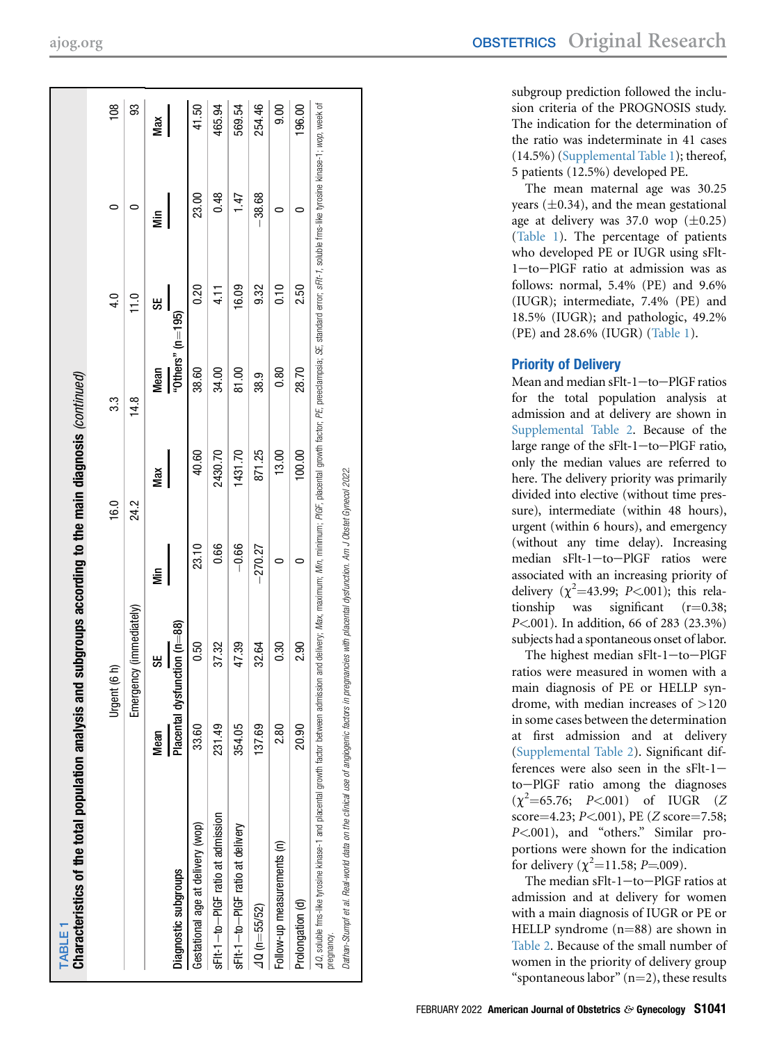| Characteristics of the total population analysis and subgroups according to the main diagnosis (continued)                                                                                                                                   |             |                              |           |         |                      |                |          |        |
|----------------------------------------------------------------------------------------------------------------------------------------------------------------------------------------------------------------------------------------------|-------------|------------------------------|-----------|---------|----------------------|----------------|----------|--------|
|                                                                                                                                                                                                                                              |             | Urgent (6 h)                 |           | 16.0    | 33                   | 4.0            | 0        | 108    |
|                                                                                                                                                                                                                                              |             | Emergency (immediately)      |           | 24.2    | 14.8                 | $\frac{0}{11}$ |          | 93     |
|                                                                                                                                                                                                                                              | <b>Mean</b> | မ္တ                          | έ         | Max     | Mean                 | 55             | έ        | Max    |
| Diagnostic subgroups                                                                                                                                                                                                                         |             | Placental dysfunction (n=88) |           |         | "Others" ( $n=195$ ) |                |          |        |
| Gestational age at delivery (wop)                                                                                                                                                                                                            | 33.60       | 0.50                         | 23.10     | 40.60   | 38.60                | 0.20           | 23.00    | 41.50  |
| sFIt-1-to-PIGF ratio at admission                                                                                                                                                                                                            | 231.49      | 3732                         | 0.66      | 2430.70 | 34.00                | 4.11           | 0.48     | 465.94 |
| sFIt-1-to-PIGF ratio at delivery                                                                                                                                                                                                             | 354.05      | 47.39                        | $-0.66$   | 1431.70 | 81.00                | 16.09          | 147      | 569.54 |
| $40(n = 55/52)$                                                                                                                                                                                                                              | 137.69      | 32.64                        | $-270.27$ | 871.25  | 38.9                 | 9.32           | $-38.68$ | 254.46 |
| Follow-up measurements (n)                                                                                                                                                                                                                   | 2.80        | 0.30                         |           | 13.00   | 0.80                 | 0.10           |          | 0.00   |
| Prolongation (d)                                                                                                                                                                                                                             | 20.90       | 2.90                         | 0         | 100.00  | 28.70                | 2.50           |          | 196.00 |
| 40, soluble fina-like tyrosine kinase-1 and placental growth factor between actor his mean of olehers, Mar, minimum; PIGF, placental growth factor, PE, preeclampsia; SE, standard error; sFif-1, soluble finas tineshike kina<br>pregnancy. |             |                              |           |         |                      |                |          |        |
| Dathan-Stumpf et al. Real-world data on the clinical use of angiogenic factors in pregnancies with placental dysfunction. Am J Obstet Gynecol 2022.                                                                                          |             |                              |           |         |                      |                |          |        |

subgroup prediction followed the inclusion criteria of the PROGNOSIS study. The indication for the determination of the ratio was indeterminate in 41 cases (14.5%) [\(Supplemental Table 1\)](#page-11-0); thereof, 5 patients (12.5%) developed PE.

The mean maternal age was 30.25 years  $(\pm 0.34)$ , and the mean gestational age at delivery was  $37.0$  wop  $(\pm 0.25)$ [\(Table 1\)](#page-3-0). The percentage of patients who developed PE or IUGR using sFlt- 1-to-PlGF ratio at admission was as follows: normal, 5.4% (PE) and 9.6% (IUGR); intermediate, 7.4% (PE) and 18.5% (IUGR); and pathologic, 49.2% (PE) and 28.6% (IUGR) [\(Table 1\)](#page-3-0).

# Priority of Delivery

Mean and median sFlt-1-to-PlGF ratios for the total population analysis at admission and at delivery are shown in [Supplemental Table 2](#page-12-0). Because of the large range of the sFlt-1-to-PlGF ratio, only the median values are referred to here. The delivery priority was primarily divided into elective (without time pressure), intermediate (within 48 hours), urgent (within 6 hours), and emergency (without any time delay). Increasing median sFlt-1-to-PlGF ratios were associated with an increasing priority of delivery  $(\chi^2=43.99; P<.001)$ ; this relationship was significant (r=0.38;  $P < 001$ ). In addition, 66 of 283 (23.3%) subjects had a spontaneous onset of labor.

The highest median sFlt-1-to-PlGF ratios were measured in women with a main diagnosis of PE or HELLP syndrome, with median increases of >120 in some cases between the determination at first admission and at delivery [\(Supplemental Table 2](#page-12-0)). Signi ficant differences were also seen in the  $sFlt-1$ to-PlGF ratio among the diagnoses  $(\chi^2 = 65.76; P < 001)$  of IUGR (Z  $score=4.23; P<.001), PE (Z score=7.58;$ P<.001), and "others." Similar proportions were shown for the indication for delivery ( $\chi^2$ =11.58; P=.009).

The median sFlt-1-to-PlGF ratios at admission and at delivery for women with a main diagnosis of IUGR or PE or HELLP syndrome  $(n=88)$  are shown in [Table 2](#page-5-0). Because of the small number of women in the priority of delivery group "spontaneous labor"  $(n=2)$ , these results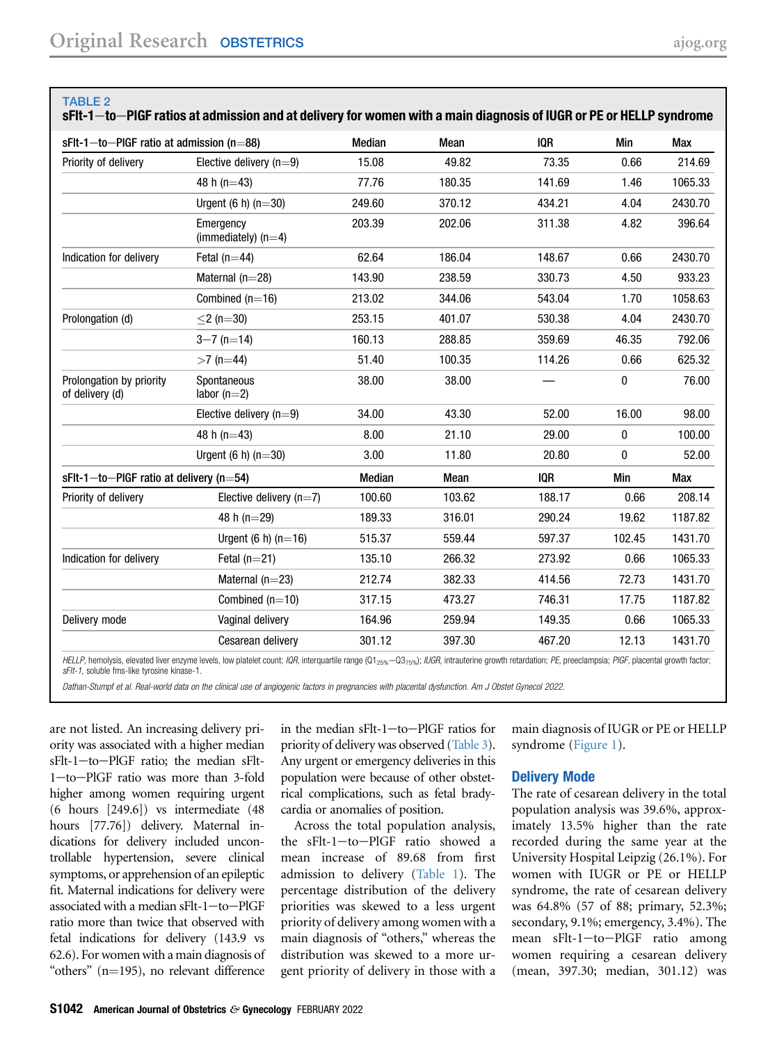<span id="page-5-0"></span>TABLE 2

|                                             | 50 SERFI TW⊤FIQIF TAUVS ALAUNINSSIVII ANU ALUCHVCI Y IVI WUNICH WIUI A MAMI UIAYNOSIS UI IUUN UI FE UI NELLF SYNUUMI |        |        |            |        |            |
|---------------------------------------------|----------------------------------------------------------------------------------------------------------------------|--------|--------|------------|--------|------------|
| $sFlt-1$ -to-PIGF ratio at admission (n=88) |                                                                                                                      | Median | Mean   | <b>IQR</b> | Min    | Max        |
| Priority of delivery                        | Elective delivery $(n=9)$                                                                                            | 15.08  | 49.82  | 73.35      | 0.66   | 214.69     |
|                                             | 48 h $(n=43)$                                                                                                        | 77.76  | 180.35 | 141.69     | 1.46   | 1065.33    |
|                                             | Urgent $(6 h)$ (n=30)                                                                                                | 249.60 | 370.12 | 434.21     | 4.04   | 2430.70    |
|                                             | Emergency<br>(immediately) $(n=4)$                                                                                   | 203.39 | 202.06 | 311.38     | 4.82   | 396.64     |
| Indication for delivery                     | Fetal $(n=44)$                                                                                                       | 62.64  | 186.04 | 148.67     | 0.66   | 2430.70    |
|                                             | Maternal $(n=28)$                                                                                                    | 143.90 | 238.59 | 330.73     | 4.50   | 933.23     |
|                                             | Combined $(n=16)$                                                                                                    | 213.02 | 344.06 | 543.04     | 1.70   | 1058.63    |
| Prolongation (d)                            | $<$ 2 (n=30)                                                                                                         | 253.15 | 401.07 | 530.38     | 4.04   | 2430.70    |
|                                             | $3 - 7$ (n=14)                                                                                                       | 160.13 | 288.85 | 359.69     | 46.35  | 792.06     |
|                                             | $>7$ (n=44)                                                                                                          | 51.40  | 100.35 | 114.26     | 0.66   | 625.32     |
| Prolongation by priority<br>of delivery (d) | Spontaneous<br>labor $(n=2)$                                                                                         | 38.00  | 38.00  |            | 0      | 76.00      |
|                                             | Elective delivery $(n=9)$                                                                                            | 34.00  | 43.30  | 52.00      | 16.00  | 98.00      |
|                                             | 48 h ( $n=43$ )                                                                                                      | 8.00   | 21.10  | 29.00      | 0      | 100.00     |
|                                             | Urgent $(6 h)$ (n=30)                                                                                                | 3.00   | 11.80  | 20.80      | 0      | 52.00      |
| $sFlt-1$ -to-PIGF ratio at delivery (n=54)  |                                                                                                                      | Median | Mean   | <b>IQR</b> | Min    | <b>Max</b> |
| Priority of delivery                        | Elective delivery $(n=7)$                                                                                            | 100.60 | 103.62 | 188.17     | 0.66   | 208.14     |
|                                             | 48 h ( $n=29$ )                                                                                                      | 189.33 | 316.01 | 290.24     | 19.62  | 1187.82    |
|                                             | Urgent $(6 h)$ (n=16)                                                                                                | 515.37 | 559.44 | 597.37     | 102.45 | 1431.70    |
| Indication for delivery                     | Fetal $(n=21)$                                                                                                       | 135.10 | 266.32 | 273.92     | 0.66   | 1065.33    |
|                                             | Maternal $(n=23)$                                                                                                    | 212.74 | 382.33 | 414.56     | 72.73  | 1431.70    |
|                                             | Combined $(n=10)$                                                                                                    | 317.15 | 473.27 | 746.31     | 17.75  | 1187.82    |
| Delivery mode                               | Vaginal delivery                                                                                                     | 164.96 | 259.94 | 149.35     | 0.66   | 1065.33    |
|                                             | Cesarean delivery                                                                                                    | 301.12 | 397.30 | 467.20     | 12.13  | 1431.70    |
|                                             |                                                                                                                      |        |        |            |        |            |

sFlt-1 to PPLGF ratios at admission and at delivery for women with a main diagnosis of IUGR or PE or HELLR syndrome

HELLP, hemolysis, elevated liver enzyme levels, low platelet count; IQR, interquartile range (Q1<sub>25%</sub>-Q3<sub>75%</sub>); IUGR, intrauterine growth retardation; PE, preeclampsia; PIGF, placental growth factor; sFlt-1, soluble fms-like tyrosine kinase-1.

Dathan-Stumpf et al. Real-world data on the clinical use of angiogenic factors in pregnancies with placental dysfunction. Am J Obstet Gynecol 2022.

are not listed. An increasing delivery priority was associated with a higher median  $sFlt-1$  -to-PlGF ratio; the median  $sFlt-$ 1-to-PlGF ratio was more than 3-fold higher among women requiring urgent (6 hours [249.6]) vs intermediate (48 hours [77.76]) delivery. Maternal indications for delivery included uncontrollable hypertension, severe clinical symptoms, or apprehension of an epileptic fit. Maternal indications for delivery were associated with a median sFlt-1-to-PlGF ratio more than twice that observed with fetal indications for delivery (143.9 vs 62.6). For women with a main diagnosis of "others"  $(n=195)$ , no relevant difference

in the median  $sFlt-1$  -to-PlGF ratios for priority of delivery was observed [\(Table 3\)](#page-6-0). Any urgent or emergency deliveries in this population were because of other obstetrical complications, such as fetal bradycardia or anomalies of position.

Across the total population analysis, the  $sFlt-1$ -to-PlGF ratio showed a mean increase of 89.68 from first admission to delivery ([Table 1](#page-3-0)). The percentage distribution of the delivery priorities was skewed to a less urgent priority of delivery among women with a main diagnosis of "others," whereas the distribution was skewed to a more urgent priority of delivery in those with a

main diagnosis of IUGR or PE or HELLP syndrome [\(Figure 1](#page-2-0)).

#### Delivery Mode

The rate of cesarean delivery in the total population analysis was 39.6%, approximately 13.5% higher than the rate recorded during the same year at the University Hospital Leipzig (26.1%). For women with IUGR or PE or HELLP syndrome, the rate of cesarean delivery was 64.8% (57 of 88; primary, 52.3%; secondary, 9.1%; emergency, 3.4%). The mean sFlt-1-to-PlGF ratio among women requiring a cesarean delivery (mean, 397.30; median, 301.12) was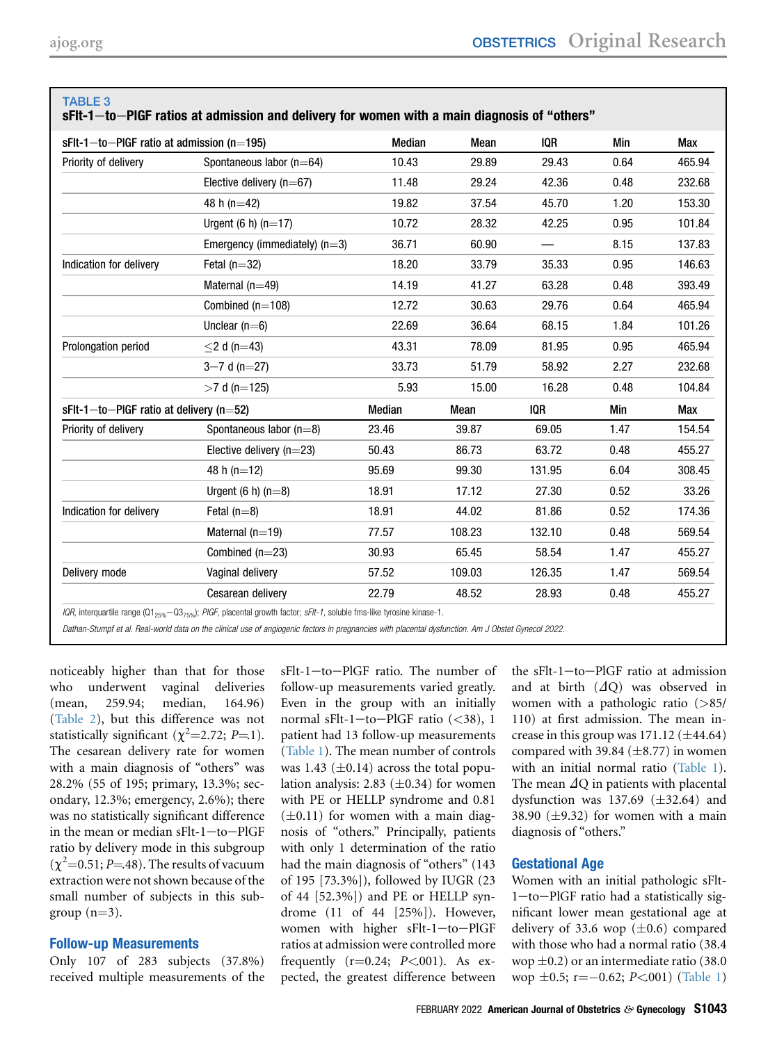| $sFlt-1$ -to-PIGF ratio at admission (n=195) |                                 | Median | Mean   | IOR    | Min  | Max    |
|----------------------------------------------|---------------------------------|--------|--------|--------|------|--------|
| Priority of delivery                         | Spontaneous labor $(n=64)$      | 10.43  | 29.89  | 29.43  | 0.64 | 465.94 |
|                                              | Elective delivery ( $n=67$ )    | 11.48  | 29.24  | 42.36  | 0.48 | 232.68 |
|                                              | 48 h ( $n=42$ )                 | 19.82  | 37.54  | 45.70  | 1.20 | 153.30 |
|                                              | Urgent $(6 h)$ $(n=17)$         | 10.72  | 28.32  | 42.25  | 0.95 | 101.84 |
|                                              | Emergency (immediately) $(n=3)$ | 36.71  | 60.90  |        | 8.15 | 137.83 |
| Indication for delivery                      | Fetal $(n=32)$                  | 18.20  | 33.79  | 35.33  | 0.95 | 146.63 |
|                                              | Maternal $(n=49)$               | 14.19  | 41.27  | 63.28  | 0.48 | 393.49 |
|                                              | Combined $(n=108)$              | 12.72  | 30.63  | 29.76  | 0.64 | 465.94 |
|                                              | Unclear $(n=6)$                 | 22.69  | 36.64  | 68.15  | 1.84 | 101.26 |
| Prolongation period                          | $\leq$ 2 d (n=43)               | 43.31  | 78.09  | 81.95  | 0.95 | 465.94 |
|                                              | $3 - 7$ d (n=27)                | 33.73  | 51.79  | 58.92  | 2.27 | 232.68 |
|                                              | $>7$ d (n=125)                  | 5.93   | 15.00  | 16.28  | 0.48 | 104.84 |
| $sFlt-1$ -to-PIGF ratio at delivery (n=52)   |                                 | Median | Mean   | IOR    | Min  | Max    |
| Priority of delivery                         | Spontaneous labor $(n=8)$       | 23.46  | 39.87  | 69.05  | 1.47 | 154.54 |
|                                              | Elective delivery $(n=23)$      | 50.43  | 86.73  | 63.72  | 0.48 | 455.27 |
|                                              | 48 h (n=12)                     | 95.69  | 99.30  | 131.95 | 6.04 | 308.45 |
|                                              | Urgent $(6 h) (n=8)$            | 18.91  | 17.12  | 27.30  | 0.52 | 33.26  |
| Indication for delivery                      | Fetal $(n=8)$                   | 18.91  | 44.02  | 81.86  | 0.52 | 174.36 |
|                                              | Maternal $(n=19)$               | 77.57  | 108.23 | 132.10 | 0.48 | 569.54 |
|                                              | Combined $(n=23)$               | 30.93  | 65.45  | 58.54  | 1.47 | 455.27 |
| Delivery mode                                | Vaginal delivery                | 57.52  | 109.03 | 126.35 | 1.47 | 569.54 |
|                                              | Cesarean delivery               | 22.79  | 48.52  | 28.93  | 0.48 | 455.27 |

# <span id="page-6-0"></span>TABLE 3

sFIt-1—to—PIGF ratios at admission and delivery for women with a main diagnosis of "others"

IQR, interquartile range (Q1<sub>25%</sub>—Q3<sub>75%</sub>); PIGF, placental growth factor; sFIt-1, soluble fms-like tyrosine kinase-1.

Dathan-Stumpf et al. Real-world data on the clinical use of angiogenic factors in pregnancies with placental dysfunction. Am J Obstet Gynecol 2022.

noticeably higher than that for those who underwent vaginal deliveries (mean, 259.94; median, 164.96) [\(Table 2](#page-5-0)), but this difference was not statistically significant  $(\chi^2=2.72; P=1)$ . The cesarean delivery rate for women with a main diagnosis of "others" was 28.2% (55 of 195; primary, 13.3%; secondary, 12.3%; emergency, 2.6%); there was no statistically significant difference in the mean or median sFlt-1-to-PlGF ratio by delivery mode in this subgroup  $(\chi^2=0.51; P=48)$ . The results of vacuum extraction were not shown because of the small number of subjects in this subgroup  $(n=3)$ .

#### Follow-up Measurements

Only 107 of 283 subjects (37.8%) received multiple measurements of the sFlt-1-to-PlGF ratio. The number of follow-up measurements varied greatly. Even in the group with an initially normal sFlt-1-to-PlGF ratio  $(<38)$ , 1 patient had 13 follow-up measurements ([Table 1](#page-3-0)). The mean number of controls was 1.43 ( $\pm$ 0.14) across the total population analysis: 2.83  $(\pm 0.34)$  for women with PE or HELLP syndrome and 0.81  $(\pm 0.11)$  for women with a main diagnosis of "others." Principally, patients with only 1 determination of the ratio had the main diagnosis of "others" (143 of 195 [73.3%]), followed by IUGR (23 of 44 [52.3%]) and PE or HELLP syndrome (11 of 44 [25%]). However, women with higher sFlt-1-to-PlGF ratios at admission were controlled more frequently  $(r=0.24; P<.001)$ . As expected, the greatest difference between

the  $sFlt-1$ -to-PlGF ratio at admission and at birth  $(\Delta Q)$  was observed in women with a pathologic ratio (>85/ 110) at first admission. The mean increase in this group was  $171.12 \ (\pm 44.64)$ compared with 39.84  $(\pm 8.77)$  in women with an initial normal ratio ([Table 1\)](#page-3-0). The mean  $\Delta Q$  in patients with placental dysfunction was 137.69  $(\pm 32.64)$  and 38.90  $(\pm 9.32)$  for women with a main diagnosis of "others."

# Gestational Age

Women with an initial pathologic sFlt- $1$ -to-PlGF ratio had a statistically significant lower mean gestational age at delivery of 33.6 wop  $(\pm 0.6)$  compared with those who had a normal ratio (38.4 wop  $\pm 0.2$ ) or an intermediate ratio (38.0 wop  $\pm 0.5$ ; r=-0.62; P<.001) ([Table 1](#page-3-0))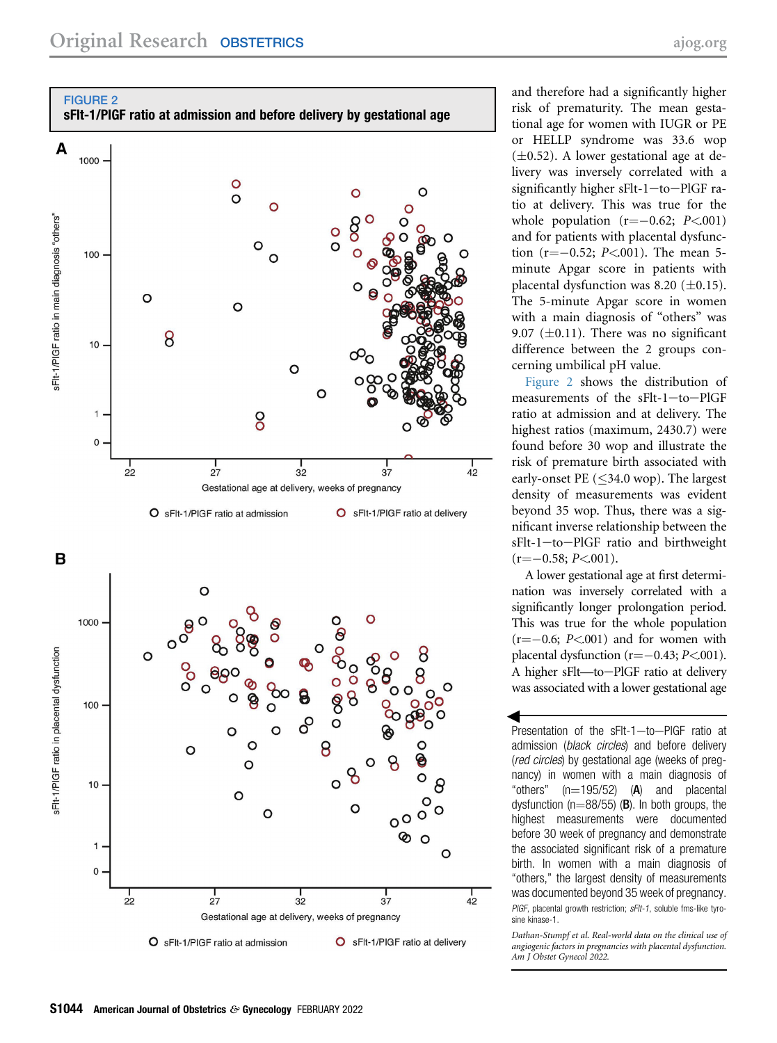<span id="page-7-0"></span>



O sFlt-1/PIGF ratio at admission

O sFlt-1/PIGF ratio at delivery

and therefore had a significantly higher risk of prematurity. The mean gestational age for women with IUGR or PE or HELLP syndrome was 33.6 wop  $(\pm 0.52)$ . A lower gestational age at delivery was inversely correlated with a significantly higher sFlt-1-to-PlGF ratio at delivery. This was true for the whole population  $(r=-0.62; P<.001)$ and for patients with placental dysfunction (r= $-0.52$ ; P<001). The mean 5minute Apgar score in patients with placental dysfunction was 8.20  $(\pm 0.15)$ . The 5-minute Apgar score in women with a main diagnosis of "others" was 9.07 ( $\pm$ 0.11). There was no significant difference between the 2 groups concerning umbilical pH value.

[Figure 2](#page-7-0) shows the distribution of measurements of the sFlt-1-to-PlGF ratio at admission and at delivery. The highest ratios (maximum, 2430.7) were found before 30 wop and illustrate the risk of premature birth associated with early-onset PE ( $\leq$ 34.0 wop). The largest density of measurements was evident beyond 35 wop. Thus, there was a significant inverse relationship between the  $sFlt-1$ -to-PlGF ratio and birthweight  $(r=-0.58; P<.001)$ .

A lower gestational age at first determination was inversely correlated with a significantly longer prolongation period. This was true for the whole population  $(r=-0.6; P<0.01)$  and for women with placental dysfunction  $(r=-0.43; P<.001)$ . A higher sFlt-to-PlGF ratio at delivery was associated with a lower gestational age

Presentation of the sFlt-1-to-PIGF ratio at admission (black circles) and before delivery (red circles) by gestational age (weeks of pregnancy) in women with a main diagnosis of "others"  $(n=195/52)$  (A) and placental dysfunction ( $n=88/55$ ) (B). In both groups, the highest measurements were documented before 30 week of pregnancy and demonstrate the associated significant risk of a premature birth. In women with a main diagnosis of "others," the largest density of measurements was documented beyond 35 week of pregnancy. PIGF, placental growth restriction; sFIt-1, soluble fms-like tyrosine kinase-1.

Dathan-Stumpf et al. Real-world data on the clinical use of angiogenic factors in pregnancies with placental dysfunction. Am J Obstet Gynecol 2022.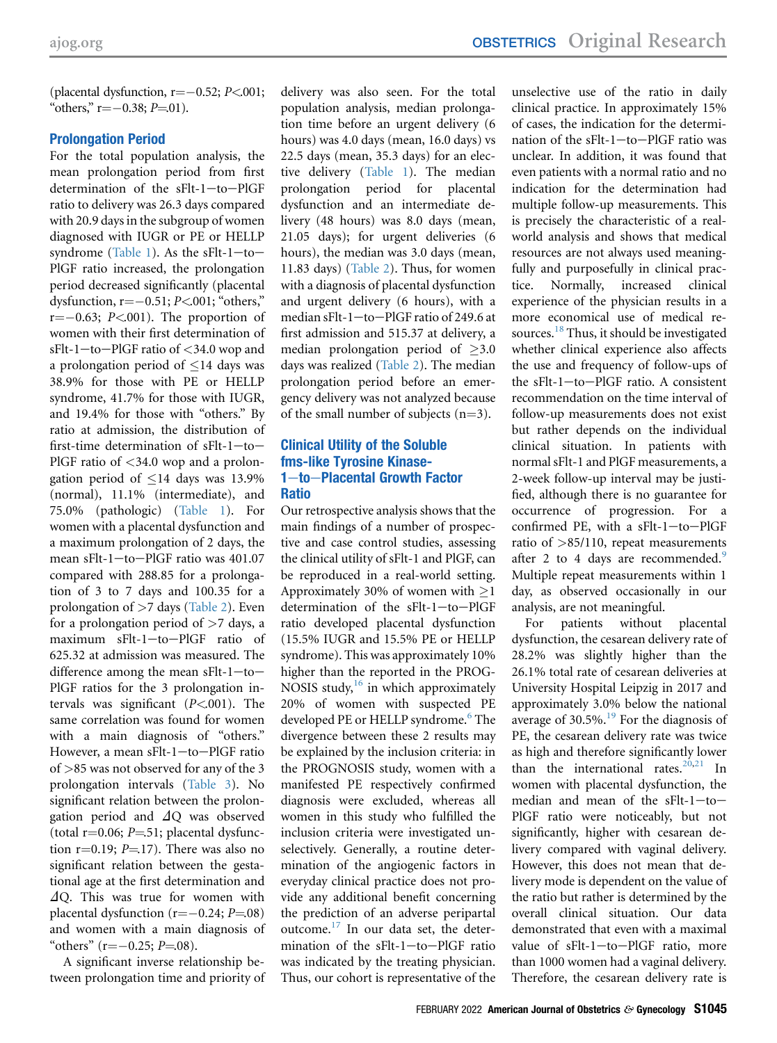(placental dysfunction,  $r=-0.52; P<.001;$ "others,"  $r = -0.38$ ;  $P = 01$ ).

# Prolongation Period

For the total population analysis, the mean prolongation period from first determination of the  $sFlt-1$ -to-PlGF ratio to delivery was 26.3 days compared with 20.9 days in the subgroup of women diagnosed with IUGR or PE or HELLP syndrome [\(Table 1\)](#page-3-0). As the sFlt- $1$ -to-PlGF ratio increased, the prolongation period decreased significantly (placental dysfunction,  $r=-0.51; P<.001$ ; "others,"  $r=-0.63$ ;  $P<0.01$ ). The proportion of women with their first determination of  $sFlt-1$  -to-PlGF ratio of  $<$  34.0 wop and a prolongation period of  $\leq$ 14 days was 38.9% for those with PE or HELLP syndrome, 41.7% for those with IUGR, and 19.4% for those with "others." By ratio at admission, the distribution of first-time determination of  $sFlt-1$ -to-PlGF ratio of  $\langle 34.0 \rangle$  wop and a prolongation period of  $\leq 14$  days was 13.9% (normal), 11.1% (intermediate), and 75.0% (pathologic) ([Table 1\)](#page-3-0). For women with a placental dysfunction and a maximum prolongation of 2 days, the mean sFlt-1-to-PlGF ratio was 401.07 compared with 288.85 for a prolongation of 3 to 7 days and 100.35 for a prolongation of >7 days ([Table 2](#page-5-0)). Even for a prolongation period of  $>7$  days, a maximum sFlt-1-to-PlGF ratio of 625.32 at admission was measured. The difference among the mean sFlt-1-to-PlGF ratios for the 3 prolongation intervals was significant  $(P<.001)$ . The same correlation was found for women with a main diagnosis of "others." However, a mean sFlt-1-to-PlGF ratio of >85 was not observed for any of the 3 prolongation intervals ([Table 3](#page-6-0)). No significant relation between the prolongation period and  $\Delta$ O was observed (total  $r=0.06$ ;  $P=51$ ; placental dysfunction r=0.19;  $P=17$ ). There was also no significant relation between the gestational age at the first determination and  $\Delta$ O. This was true for women with placental dysfunction  $(r=-0.24; P=0.08)$ and women with a main diagnosis of "others" ( $r = -0.25$ ;  $P = 08$ ).

A significant inverse relationship between prolongation time and priority of delivery was also seen. For the total population analysis, median prolongation time before an urgent delivery (6 hours) was 4.0 days (mean, 16.0 days) vs 22.5 days (mean, 35.3 days) for an elective delivery [\(Table 1](#page-3-0)). The median prolongation period for placental dysfunction and an intermediate delivery (48 hours) was 8.0 days (mean, 21.05 days); for urgent deliveries (6 hours), the median was 3.0 days (mean, 11.83 days) [\(Table 2](#page-5-0)). Thus, for women with a diagnosis of placental dysfunction and urgent delivery (6 hours), with a median sFlt-1-to-PlGF ratio of 249.6 at first admission and 515.37 at delivery, a median prolongation period of  $>3.0$ days was realized [\(Table 2\)](#page-5-0). The median prolongation period before an emergency delivery was not analyzed because of the small number of subjects  $(n=3)$ .

# Clinical Utility of the Soluble fms-like Tyrosine Kinase-1-to-Placental Growth Factor Ratio

Our retrospective analysis shows that the main findings of a number of prospective and case control studies, assessing the clinical utility of sFlt-1 and PlGF, can be reproduced in a real-world setting. Approximately 30% of women with  $>1$ determination of the sFlt-1-to-PlGF ratio developed placental dysfunction (15.5% IUGR and 15.5% PE or HELLP syndrome). This was approximately 10% higher than the reported in the PROG-NOSIS study, $^{16}$  $^{16}$  $^{16}$  in which approximately 20% of women with suspected PE developed PE or HELLP syndrome.<sup>[6](#page-10-5)</sup> The divergence between these 2 results may be explained by the inclusion criteria: in the PROGNOSIS study, women with a manifested PE respectively confirmed diagnosis were excluded, whereas all women in this study who fulfilled the inclusion criteria were investigated unselectively. Generally, a routine determination of the angiogenic factors in everyday clinical practice does not provide any additional benefit concerning the prediction of an adverse peripartal outcome. $^{17}$  $^{17}$  $^{17}$  In our data set, the determination of the  $sFlt-1$ -to-PlGF ratio was indicated by the treating physician. Thus, our cohort is representative of the

unselective use of the ratio in daily clinical practice. In approximately 15% of cases, the indication for the determination of the  $sFlt-1$ -to-PlGF ratio was unclear. In addition, it was found that even patients with a normal ratio and no indication for the determination had multiple follow-up measurements. This is precisely the characteristic of a realworld analysis and shows that medical resources are not always used meaningfully and purposefully in clinical practice. Normally, increased clinical experience of the physician results in a more economical use of medical resources.<sup>18</sup> Thus, it should be investigated whether clinical experience also affects the use and frequency of follow-ups of the  $sFlt-1$ -to-PlGF ratio. A consistent recommendation on the time interval of follow-up measurements does not exist but rather depends on the individual clinical situation. In patients with normal sFlt-1 and PlGF measurements, a 2-week follow-up interval may be justified, although there is no guarantee for occurrence of progression. For a confirmed PE, with a  $sFlt-1$ -to-PlGF ratio of >85/110, repeat measurements after 2 to 4 days are recommended.<sup>[9](#page-10-6)</sup> Multiple repeat measurements within 1 day, as observed occasionally in our analysis, are not meaningful.

For patients without placental dysfunction, the cesarean delivery rate of 28.2% was slightly higher than the 26.1% total rate of cesarean deliveries at University Hospital Leipzig in 2017 and approximately 3.0% below the national average of  $30.5\%$ .<sup>[19](#page-10-16)</sup> For the diagnosis of PE, the cesarean delivery rate was twice as high and therefore significantly lower than the international rates. $20,21$  $20,21$  In women with placental dysfunction, the median and mean of the  $sFlt-1-to-$ PlGF ratio were noticeably, but not significantly, higher with cesarean delivery compared with vaginal delivery. However, this does not mean that delivery mode is dependent on the value of the ratio but rather is determined by the overall clinical situation. Our data demonstrated that even with a maximal value of  $sFlt-1$ -to-PlGF ratio, more than 1000 women had a vaginal delivery. Therefore, the cesarean delivery rate is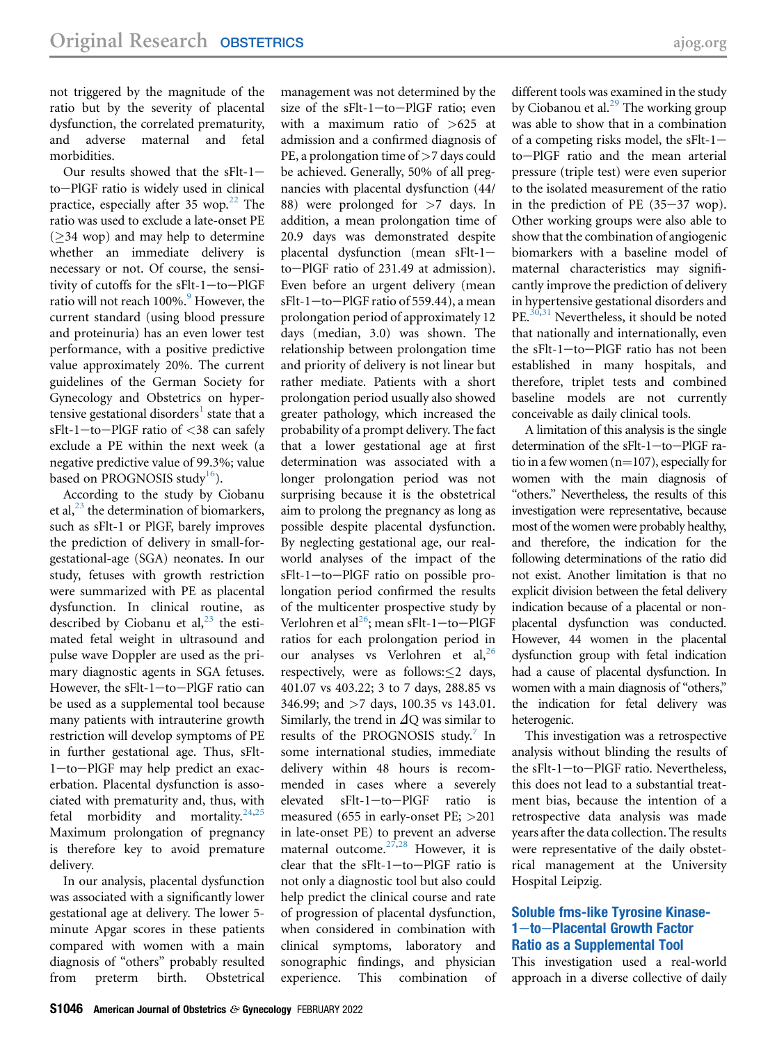not triggered by the magnitude of the ratio but by the severity of placental dysfunction, the correlated prematurity, and adverse maternal and fetal morbidities.

Our results showed that the  $sFlt-1$ to-PlGF ratio is widely used in clinical practice, especially after 35 wop. $22$  The ratio was used to exclude a late-onset PE  $($ >34 wop) and may help to determine whether an immediate delivery is necessary or not. Of course, the sensitivity of cutoffs for the  $sFlt-1$ -to-PlGF ratio will not reach 100%.<sup>[9](#page-10-6)</sup> However, the current standard (using blood pressure and proteinuria) has an even lower test performance, with a positive predictive value approximately 20%. The current guidelines of the German Society for Gynecology and Obstetrics on hyper-tensive gestational disorders<sup>[1](#page-10-0)</sup> state that a  $sFlt-1$  -to-PlGF ratio of <38 can safely exclude a PE within the next week (a negative predictive value of 99.3%; value based on PROGNOSIS study<sup>16</sup>).

According to the study by Ciobanu et al,  $^{23}$  the determination of biomarkers, such as sFlt-1 or PlGF, barely improves the prediction of delivery in small-forgestational-age (SGA) neonates. In our study, fetuses with growth restriction were summarized with PE as placental dysfunction. In clinical routine, as described by Ciobanu et al,  $^{23}$  $^{23}$  $^{23}$  the estimated fetal weight in ultrasound and pulse wave Doppler are used as the primary diagnostic agents in SGA fetuses. However, the sFlt-1-to-PlGF ratio can be used as a supplemental tool because many patients with intrauterine growth restriction will develop symptoms of PE in further gestational age. Thus, sFlt- $1$ -to-PlGF may help predict an exacerbation. Placental dysfunction is associated with prematurity and, thus, with fetal morbidity and mortality. $24,25$  $24,25$ Maximum prolongation of pregnancy is therefore key to avoid premature delivery.

In our analysis, placental dysfunction was associated with a significantly lower gestational age at delivery. The lower 5 minute Apgar scores in these patients compared with women with a main diagnosis of "others" probably resulted from preterm birth. Obstetrical management was not determined by the size of the sFlt-1-to-PlGF ratio; even with a maximum ratio of >625 at admission and a confirmed diagnosis of PE, a prolongation time of  $>7$  days could be achieved. Generally, 50% of all pregnancies with placental dysfunction (44/ 88) were prolonged for >7 days. In addition, a mean prolongation time of 20.9 days was demonstrated despite placental dysfunction (mean  $sFlt-1$ – to-PlGF ratio of 231.49 at admission). Even before an urgent delivery (mean  $sFlt-1$  -to-PlGF ratio of 559.44), a mean prolongation period of approximately 12 days (median, 3.0) was shown. The relationship between prolongation time and priority of delivery is not linear but rather mediate. Patients with a short prolongation period usually also showed greater pathology, which increased the probability of a prompt delivery. The fact that a lower gestational age at first determination was associated with a longer prolongation period was not surprising because it is the obstetrical aim to prolong the pregnancy as long as possible despite placental dysfunction. By neglecting gestational age, our realworld analyses of the impact of the sFlt-1-to-PlGF ratio on possible prolongation period confirmed the results of the multicenter prospective study by Verlohren et al<sup>[26](#page-10-23)</sup>; mean sFlt-1-to-PlGF ratios for each prolongation period in our analyses vs Verlohren et al,<sup>[26](#page-10-23)</sup> respectively, were as follows: < 2 days, 401.07 vs 403.22; 3 to 7 days, 288.85 vs 346.99; and >7 days, 100.35 vs 143.01. Similarly, the trend in  $\Delta Q$  was similar to results of the PROGNOSIS study.<sup>[7](#page-10-24)</sup> In some international studies, immediate delivery within 48 hours is recommended in cases where a severely  $e$ levated  $sF$ lt-1-to-PlGF ratio is measured (655 in early-onset PE; >201 in late-onset PE) to prevent an adverse maternal outcome. $27,28$  $27,28$  However, it is clear that the  $sFlt-1$ -to-PlGF ratio is not only a diagnostic tool but also could help predict the clinical course and rate of progression of placental dysfunction, when considered in combination with clinical symptoms, laboratory and sonographic findings, and physician experience. This combination of

different tools was examined in the study by Ciobanou et al.<sup>[29](#page-10-27)</sup> The working group was able to show that in a combination of a competing risks model, the  $sFlt-1$ to-PlGF ratio and the mean arterial pressure (triple test) were even superior to the isolated measurement of the ratio in the prediction of PE  $(35-37 \text{ wop})$ . Other working groups were also able to show that the combination of angiogenic biomarkers with a baseline model of maternal characteristics may significantly improve the prediction of delivery in hypertensive gestational disorders and PE.<sup>[30](#page-10-28),[31](#page-10-29)</sup> Nevertheless, it should be noted that nationally and internationally, even the  $sFlt-1$ -to-PlGF ratio has not been established in many hospitals, and therefore, triplet tests and combined baseline models are not currently conceivable as daily clinical tools.

A limitation of this analysis is the single determination of the  $sFlt-1$ -to-PlGF ratio in a few women  $(n=107)$ , especially for women with the main diagnosis of "others." Nevertheless, the results of this investigation were representative, because most of the women were probably healthy, and therefore, the indication for the following determinations of the ratio did not exist. Another limitation is that no explicit division between the fetal delivery indication because of a placental or nonplacental dysfunction was conducted. However, 44 women in the placental dysfunction group with fetal indication had a cause of placental dysfunction. In women with a main diagnosis of "others," the indication for fetal delivery was heterogenic.

This investigation was a retrospective analysis without blinding the results of the sFlt-1-to-PlGF ratio. Nevertheless, this does not lead to a substantial treatment bias, because the intention of a retrospective data analysis was made years after the data collection. The results were representative of the daily obstetrical management at the University Hospital Leipzig.

# Soluble fms-like Tyrosine Kinase-1-to-Placental Growth Factor Ratio as a Supplemental Tool

This investigation used a real-world approach in a diverse collective of daily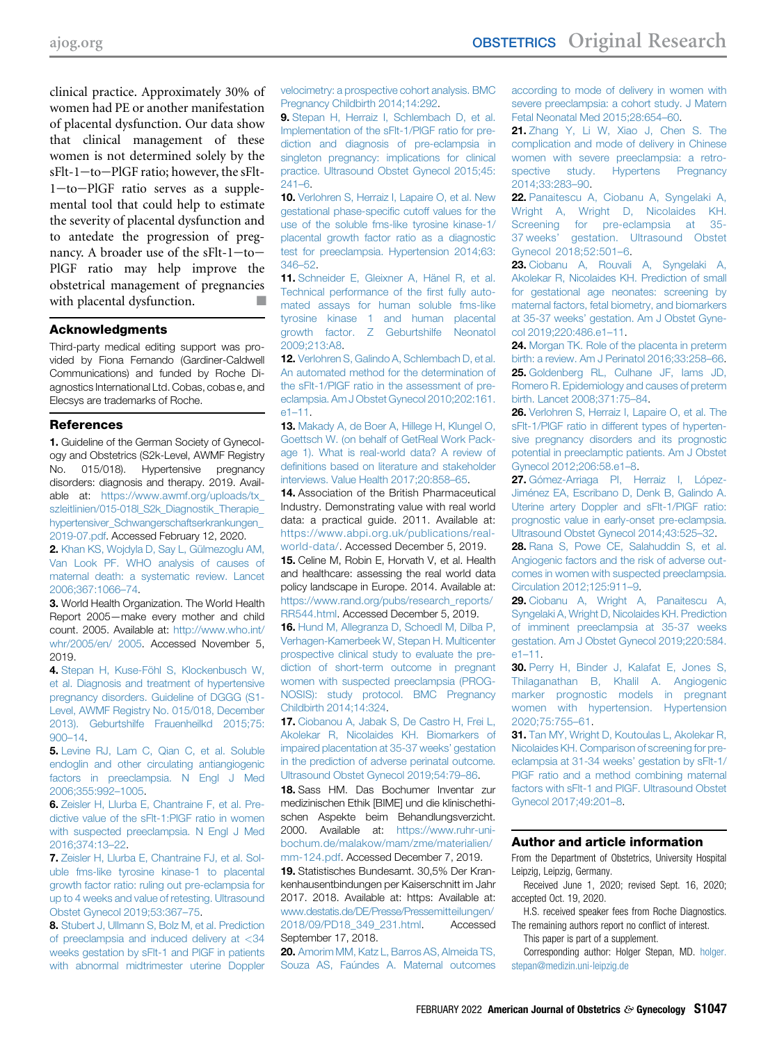clinical practice. Approximately 30% of women had PE or another manifestation of placental dysfunction. Our data show that clinical management of these women is not determined solely by the  $sFlt-1$  -to-PlGF ratio; however, the  $sFlt-$ 1-to-PlGF ratio serves as a supplemental tool that could help to estimate the severity of placental dysfunction and to antedate the progression of pregnancy. A broader use of the sFlt- $1$ -to-PlGF ratio may help improve the obstetrical management of pregnancies with placental dysfunction.  $\Box$ 

#### Acknowledgments

Third-party medical editing support was provided by Fiona Fernando (Gardiner-Caldwell Communications) and funded by Roche Diagnostics International Ltd. Cobas, cobas e, and Elecsys are trademarks of Roche.

#### References

<span id="page-10-0"></span>1. Guideline of the German Society of Gynecology and Obstetrics (S2k-Level, AWMF Registry No. 015/018). Hypertensive pregnancy disorders: diagnosis and therapy. 2019. Available at: [https://www.awmf.org/uploads/tx\\_](https://www.awmf.org/uploads/tx_szleitlinien/015-018l_S2k_Diagnostik_Therapie_hypertensiver_Schwangerschaftserkrankungen_2019-07.pdf) [szleitlinien/015-018l\\_S2k\\_Diagnostik\\_Therapie\\_](https://www.awmf.org/uploads/tx_szleitlinien/015-018l_S2k_Diagnostik_Therapie_hypertensiver_Schwangerschaftserkrankungen_2019-07.pdf) [hypertensiver\\_Schwangerschaftserkrankungen\\_](https://www.awmf.org/uploads/tx_szleitlinien/015-018l_S2k_Diagnostik_Therapie_hypertensiver_Schwangerschaftserkrankungen_2019-07.pdf) [2019-07.pdf](https://www.awmf.org/uploads/tx_szleitlinien/015-018l_S2k_Diagnostik_Therapie_hypertensiver_Schwangerschaftserkrankungen_2019-07.pdf). Accessed February 12, 2020.

<span id="page-10-1"></span>2. [Khan KS, Wojdyla D, Say L, Gülmezoglu AM,](http://refhub.elsevier.com/S0002-9378(20)31202-3/sref2) [Van Look PF. WHO analysis of causes of](http://refhub.elsevier.com/S0002-9378(20)31202-3/sref2) [maternal death: a systematic review. Lancet](http://refhub.elsevier.com/S0002-9378(20)31202-3/sref2) [2006;367:1066](http://refhub.elsevier.com/S0002-9378(20)31202-3/sref2)–74.

<span id="page-10-2"></span>3. World Health Organization. The World Health Report 2005—make every mother and child count. 2005. Available at: [http://www.who.int/](http://www.who.int/whr/2005/en/%202005) [whr/2005/en/ 2005](http://www.who.int/whr/2005/en/%202005). Accessed November 5, 2019.

<span id="page-10-3"></span>4. [Stepan H, Kuse-Föhl S, Klockenbusch W,](http://refhub.elsevier.com/S0002-9378(20)31202-3/sref4) [et al. Diagnosis and treatment of hypertensive](http://refhub.elsevier.com/S0002-9378(20)31202-3/sref4) [pregnancy disorders. Guideline of DGGG \(S1-](http://refhub.elsevier.com/S0002-9378(20)31202-3/sref4) [Level, AWMF Registry No. 015/018, December](http://refhub.elsevier.com/S0002-9378(20)31202-3/sref4) [2013\). Geburtshilfe Frauenheilkd 2015;75:](http://refhub.elsevier.com/S0002-9378(20)31202-3/sref4) [900](http://refhub.elsevier.com/S0002-9378(20)31202-3/sref4)–14.

<span id="page-10-4"></span>5. [Levine RJ, Lam C, Qian C, et al. Soluble](http://refhub.elsevier.com/S0002-9378(20)31202-3/sref5) [endoglin and other circulating antiangiogenic](http://refhub.elsevier.com/S0002-9378(20)31202-3/sref5) [factors in preeclampsia. N Engl J Med](http://refhub.elsevier.com/S0002-9378(20)31202-3/sref5) [2006;355:992](http://refhub.elsevier.com/S0002-9378(20)31202-3/sref5)–1005.

<span id="page-10-5"></span>6. [Zeisler H, Llurba E, Chantraine F, et al. Pre](http://refhub.elsevier.com/S0002-9378(20)31202-3/sref6)[dictive value of the sFlt-1:PlGF ratio in women](http://refhub.elsevier.com/S0002-9378(20)31202-3/sref6) [with suspected preeclampsia. N Engl J Med](http://refhub.elsevier.com/S0002-9378(20)31202-3/sref6) [2016;374:13](http://refhub.elsevier.com/S0002-9378(20)31202-3/sref6)–22.

<span id="page-10-24"></span>7. [Zeisler H, Llurba E, Chantraine FJ, et al. Sol](http://refhub.elsevier.com/S0002-9378(20)31202-3/sref7)[uble fms-like tyrosine kinase-1 to placental](http://refhub.elsevier.com/S0002-9378(20)31202-3/sref7) [growth factor ratio: ruling out pre-eclampsia for](http://refhub.elsevier.com/S0002-9378(20)31202-3/sref7) [up to 4 weeks and value of retesting. Ultrasound](http://refhub.elsevier.com/S0002-9378(20)31202-3/sref7) [Obstet Gynecol 2019;53:367](http://refhub.elsevier.com/S0002-9378(20)31202-3/sref7)–75.

8. [Stubert J, Ullmann S, Bolz M, et al. Prediction](http://refhub.elsevier.com/S0002-9378(20)31202-3/sref8) [of preeclampsia and induced delivery at](http://refhub.elsevier.com/S0002-9378(20)31202-3/sref8) <[34](http://refhub.elsevier.com/S0002-9378(20)31202-3/sref8) [weeks gestation by sFlt-1 and PlGF in patients](http://refhub.elsevier.com/S0002-9378(20)31202-3/sref8) [with abnormal midtrimester uterine Doppler](http://refhub.elsevier.com/S0002-9378(20)31202-3/sref8)

[velocimetry: a prospective cohort analysis. BMC](http://refhub.elsevier.com/S0002-9378(20)31202-3/sref8) [Pregnancy Childbirth 2014;14:292.](http://refhub.elsevier.com/S0002-9378(20)31202-3/sref8)

<span id="page-10-6"></span>9. [Stepan H, Herraiz I, Schlembach D, et al.](http://refhub.elsevier.com/S0002-9378(20)31202-3/sref9) [Implementation of the sFlt-1/PlGF ratio for pre](http://refhub.elsevier.com/S0002-9378(20)31202-3/sref9)[diction and diagnosis of pre-eclampsia in](http://refhub.elsevier.com/S0002-9378(20)31202-3/sref9) [singleton pregnancy: implications for clinical](http://refhub.elsevier.com/S0002-9378(20)31202-3/sref9) [practice. Ultrasound Obstet Gynecol 2015;45:](http://refhub.elsevier.com/S0002-9378(20)31202-3/sref9)  $241 - 6$  $241 - 6$ 

<span id="page-10-7"></span>10. [Verlohren S, Herraiz I, Lapaire O, et al. New](http://refhub.elsevier.com/S0002-9378(20)31202-3/sref10) [gestational phase-speci](http://refhub.elsevier.com/S0002-9378(20)31202-3/sref10)fic cutoff values for the [use of the soluble fms-like tyrosine kinase-1/](http://refhub.elsevier.com/S0002-9378(20)31202-3/sref10) [placental growth factor ratio as a diagnostic](http://refhub.elsevier.com/S0002-9378(20)31202-3/sref10) [test for preeclampsia. Hypertension 2014;63:](http://refhub.elsevier.com/S0002-9378(20)31202-3/sref10) [346](http://refhub.elsevier.com/S0002-9378(20)31202-3/sref10)–52.

<span id="page-10-8"></span>11. [Schneider E, Gleixner A, Hänel R, et al.](http://refhub.elsevier.com/S0002-9378(20)31202-3/sref11) [Technical performance of the](http://refhub.elsevier.com/S0002-9378(20)31202-3/sref11) first fully auto[mated assays for human soluble fms-like](http://refhub.elsevier.com/S0002-9378(20)31202-3/sref11) [tyrosine kinase 1 and human placental](http://refhub.elsevier.com/S0002-9378(20)31202-3/sref11) [growth factor. Z Geburtshilfe Neonatol](http://refhub.elsevier.com/S0002-9378(20)31202-3/sref11) [2009;213:A8](http://refhub.elsevier.com/S0002-9378(20)31202-3/sref11).

<span id="page-10-9"></span>12. [Verlohren S, Galindo A, Schlembach D, et al.](http://refhub.elsevier.com/S0002-9378(20)31202-3/sref12) [An automated method for the determination of](http://refhub.elsevier.com/S0002-9378(20)31202-3/sref12) [the sFlt-1/PlGF ratio in the assessment of pre](http://refhub.elsevier.com/S0002-9378(20)31202-3/sref12)[eclampsia. Am J Obstet Gynecol 2010;202:161.](http://refhub.elsevier.com/S0002-9378(20)31202-3/sref12) [e1](http://refhub.elsevier.com/S0002-9378(20)31202-3/sref12)–11.

<span id="page-10-10"></span>13. [Makady A, de Boer A, Hillege H, Klungel O,](http://refhub.elsevier.com/S0002-9378(20)31202-3/sref13) [Goettsch W. \(on behalf of GetReal Work Pack](http://refhub.elsevier.com/S0002-9378(20)31202-3/sref13)[age 1\). What is real-world data? A review of](http://refhub.elsevier.com/S0002-9378(20)31202-3/sref13) defi[nitions based on literature and stakeholder](http://refhub.elsevier.com/S0002-9378(20)31202-3/sref13) [interviews. Value Health 2017;20:858](http://refhub.elsevier.com/S0002-9378(20)31202-3/sref13)–65.

<span id="page-10-11"></span>14. Association of the British Pharmaceutical Industry. Demonstrating value with real world data: a practical guide. 2011. Available at: [https://www.abpi.org.uk/publications/real](https://www.abpi.org.uk/publications/real-world-data/)[world-data/.](https://www.abpi.org.uk/publications/real-world-data/) Accessed December 5, 2019.

<span id="page-10-12"></span>15. Celine M, Robin E, Horvath V, et al. Health and healthcare: assessing the real world data policy landscape in Europe. 2014. Available at: [https://www.rand.org/pubs/research\\_reports/](https://www.rand.org/pubs/research_reports/RR544.html) [RR544.html.](https://www.rand.org/pubs/research_reports/RR544.html) Accessed December 5, 2019.

<span id="page-10-13"></span>16. [Hund M, Allegranza D, Schoedl M, Dilba P,](http://refhub.elsevier.com/S0002-9378(20)31202-3/sref16) [Verhagen-Kamerbeek W, Stepan H. Multicenter](http://refhub.elsevier.com/S0002-9378(20)31202-3/sref16) [prospective clinical study to evaluate the pre](http://refhub.elsevier.com/S0002-9378(20)31202-3/sref16)[diction of short-term outcome in pregnant](http://refhub.elsevier.com/S0002-9378(20)31202-3/sref16) [women with suspected preeclampsia \(PROG-](http://refhub.elsevier.com/S0002-9378(20)31202-3/sref16)[NOSIS\): study protocol. BMC Pregnancy](http://refhub.elsevier.com/S0002-9378(20)31202-3/sref16) [Childbirth 2014;14:324](http://refhub.elsevier.com/S0002-9378(20)31202-3/sref16).

<span id="page-10-14"></span>17. [Ciobanou A, Jabak S, De Castro H, Frei L,](http://refhub.elsevier.com/S0002-9378(20)31202-3/sref17) [Akolekar R, Nicolaides KH. Biomarkers of](http://refhub.elsevier.com/S0002-9378(20)31202-3/sref17) [impaired placentation at 35-37 weeks](http://refhub.elsevier.com/S0002-9378(20)31202-3/sref17)' gestation [in the prediction of adverse perinatal outcome.](http://refhub.elsevier.com/S0002-9378(20)31202-3/sref17) [Ultrasound Obstet Gynecol 2019;54:79](http://refhub.elsevier.com/S0002-9378(20)31202-3/sref17)–86.

<span id="page-10-15"></span>18. Sass HM. Das Bochumer Inventar zur medizinischen Ethik [BIME] und die klinischethischen Aspekte beim Behandlungsverzicht. 2000. Available at: [https://www.ruhr-uni](https://www.ruhr-uni-bochum.de/malakow/mam/zme/materialien/mm-124.pdf)[bochum.de/malakow/mam/zme/materialien/](https://www.ruhr-uni-bochum.de/malakow/mam/zme/materialien/mm-124.pdf) [mm-124.pdf.](https://www.ruhr-uni-bochum.de/malakow/mam/zme/materialien/mm-124.pdf) Accessed December 7, 2019.

<span id="page-10-16"></span>19. Statistisches Bundesamt. 30,5% Der Krankenhausentbindungen per Kaiserschnitt im Jahr 2017. 2018. Available at: https: Available at: [www.destatis.de/DE/Presse/Pressemitteilungen/](http://www.destatis.de/DE/Presse/Pressemitteilungen/2018/09/PD18_349_231.html) [2018/09/PD18\\_349\\_231.html](http://www.destatis.de/DE/Presse/Pressemitteilungen/2018/09/PD18_349_231.html). Accessed September 17, 2018.

<span id="page-10-17"></span>20. [Amorim MM, Katz L, Barros AS, Almeida TS,](http://refhub.elsevier.com/S0002-9378(20)31202-3/sref20) [Souza AS, Faúndes A. Maternal outcomes](http://refhub.elsevier.com/S0002-9378(20)31202-3/sref20) [according to mode of delivery in women with](http://refhub.elsevier.com/S0002-9378(20)31202-3/sref20) [severe preeclampsia: a cohort study. J Matern](http://refhub.elsevier.com/S0002-9378(20)31202-3/sref20) [Fetal Neonatal Med 2015;28:654](http://refhub.elsevier.com/S0002-9378(20)31202-3/sref20)–60.

<span id="page-10-18"></span>21. [Zhang Y, Li W, Xiao J, Chen S. The](http://refhub.elsevier.com/S0002-9378(20)31202-3/sref21) [complication and mode of delivery in Chinese](http://refhub.elsevier.com/S0002-9378(20)31202-3/sref21) [women with severe preeclampsia: a retro](http://refhub.elsevier.com/S0002-9378(20)31202-3/sref21)[spective study. Hypertens Pregnancy](http://refhub.elsevier.com/S0002-9378(20)31202-3/sref21) [2014;33:283](http://refhub.elsevier.com/S0002-9378(20)31202-3/sref21)–90.

<span id="page-10-19"></span>22. [Panaitescu A, Ciobanu A, Syngelaki A,](http://refhub.elsevier.com/S0002-9378(20)31202-3/sref22) [Wright A, Wright D, Nicolaides KH.](http://refhub.elsevier.com/S0002-9378(20)31202-3/sref22) [Screening for pre-eclampsia at 35-](http://refhub.elsevier.com/S0002-9378(20)31202-3/sref22) [37](http://refhub.elsevier.com/S0002-9378(20)31202-3/sref22) weeks' [gestation. Ultrasound Obstet](http://refhub.elsevier.com/S0002-9378(20)31202-3/sref22) [Gynecol 2018;52:501](http://refhub.elsevier.com/S0002-9378(20)31202-3/sref22)–6.

<span id="page-10-20"></span>23. [Ciobanu A, Rouvali A, Syngelaki A,](http://refhub.elsevier.com/S0002-9378(20)31202-3/sref23) [Akolekar R, Nicolaides KH. Prediction of small](http://refhub.elsevier.com/S0002-9378(20)31202-3/sref23) [for gestational age neonates: screening by](http://refhub.elsevier.com/S0002-9378(20)31202-3/sref23) [maternal factors, fetal biometry, and biomarkers](http://refhub.elsevier.com/S0002-9378(20)31202-3/sref23) at 35-37 weeks' [gestation. Am J Obstet Gyne](http://refhub.elsevier.com/S0002-9378(20)31202-3/sref23)[col 2019;220:486.e1](http://refhub.elsevier.com/S0002-9378(20)31202-3/sref23)–11.

<span id="page-10-22"></span><span id="page-10-21"></span>24. [Morgan TK. Role of the placenta in preterm](http://refhub.elsevier.com/S0002-9378(20)31202-3/sref24) [birth: a review. Am J Perinatol 2016;33:258](http://refhub.elsevier.com/S0002-9378(20)31202-3/sref24)–66. 25. [Goldenberg RL, Culhane JF, Iams JD,](http://refhub.elsevier.com/S0002-9378(20)31202-3/sref25) [Romero R. Epidemiology and causes of preterm](http://refhub.elsevier.com/S0002-9378(20)31202-3/sref25) [birth. Lancet 2008;371:75](http://refhub.elsevier.com/S0002-9378(20)31202-3/sref25)–84.

<span id="page-10-23"></span>26. [Verlohren S, Herraiz I, Lapaire O, et al. The](http://refhub.elsevier.com/S0002-9378(20)31202-3/sref26) [sFlt-1/PlGF ratio in different types of hyperten](http://refhub.elsevier.com/S0002-9378(20)31202-3/sref26)[sive pregnancy disorders and its prognostic](http://refhub.elsevier.com/S0002-9378(20)31202-3/sref26) [potential in preeclamptic patients. Am J Obstet](http://refhub.elsevier.com/S0002-9378(20)31202-3/sref26) [Gynecol 2012;206:58.e1](http://refhub.elsevier.com/S0002-9378(20)31202-3/sref26)–8.

<span id="page-10-25"></span>27. [Gómez-Arriaga PI, Herraiz I, López-](http://refhub.elsevier.com/S0002-9378(20)31202-3/sref27)[Jiménez EA, Escribano D, Denk B, Galindo A.](http://refhub.elsevier.com/S0002-9378(20)31202-3/sref27) [Uterine artery Doppler and sFlt-1/PlGF ratio:](http://refhub.elsevier.com/S0002-9378(20)31202-3/sref27) [prognostic value in early-onset pre-eclampsia.](http://refhub.elsevier.com/S0002-9378(20)31202-3/sref27) [Ultrasound Obstet Gynecol 2014;43:525](http://refhub.elsevier.com/S0002-9378(20)31202-3/sref27)–32.

<span id="page-10-26"></span>28. [Rana S, Powe CE, Salahuddin S, et al.](http://refhub.elsevier.com/S0002-9378(20)31202-3/sref28) [Angiogenic factors and the risk of adverse out](http://refhub.elsevier.com/S0002-9378(20)31202-3/sref28)[comes in women with suspected preeclampsia.](http://refhub.elsevier.com/S0002-9378(20)31202-3/sref28) [Circulation 2012;125:911](http://refhub.elsevier.com/S0002-9378(20)31202-3/sref28)–9.

<span id="page-10-27"></span>29. [Ciobanu A, Wright A, Panaitescu A,](http://refhub.elsevier.com/S0002-9378(20)31202-3/sref29) [Syngelaki A, Wright D, Nicolaides KH. Prediction](http://refhub.elsevier.com/S0002-9378(20)31202-3/sref29) [of imminent preeclampsia at 35-37 weeks](http://refhub.elsevier.com/S0002-9378(20)31202-3/sref29) [gestation. Am J Obstet Gynecol 2019;220:584.](http://refhub.elsevier.com/S0002-9378(20)31202-3/sref29) e1–[11.](http://refhub.elsevier.com/S0002-9378(20)31202-3/sref29)

<span id="page-10-28"></span>30. [Perry H, Binder J, Kalafat E, Jones S,](http://refhub.elsevier.com/S0002-9378(20)31202-3/sref30) [Thilaganathan B, Khalil A. Angiogenic](http://refhub.elsevier.com/S0002-9378(20)31202-3/sref30) [marker prognostic models in pregnant](http://refhub.elsevier.com/S0002-9378(20)31202-3/sref30) [women with hypertension. Hypertension](http://refhub.elsevier.com/S0002-9378(20)31202-3/sref30) [2020;75:755](http://refhub.elsevier.com/S0002-9378(20)31202-3/sref30)–61.

<span id="page-10-29"></span>31. [Tan MY, Wright D, Koutoulas L, Akolekar R,](http://refhub.elsevier.com/S0002-9378(20)31202-3/sref31) [Nicolaides KH. Comparison of screening for pre](http://refhub.elsevier.com/S0002-9378(20)31202-3/sref31)[eclampsia at 31-34 weeks](http://refhub.elsevier.com/S0002-9378(20)31202-3/sref31)' gestation by sFlt-1/ PIGF ratio and a method combining maternal [factors with sFlt-1 and PlGF. Ultrasound Obstet](http://refhub.elsevier.com/S0002-9378(20)31202-3/sref31) [Gynecol 2017;49:201](http://refhub.elsevier.com/S0002-9378(20)31202-3/sref31)–8.

#### Author and article information

From the Department of Obstetrics, University Hospital Leipzig, Leipzig, Germany.

Received June 1, 2020; revised Sept. 16, 2020; accepted Oct. 19, 2020.

H.S. received speaker fees from Roche Diagnostics. The remaining authors report no conflict of interest.

This paper is part of a supplement.

Corresponding author: Holger Stepan, MD. [holger.](mailto:holger.stepan@medizin.uni-leipzig.de) [stepan@medizin.uni-leipzig.de](mailto:holger.stepan@medizin.uni-leipzig.de)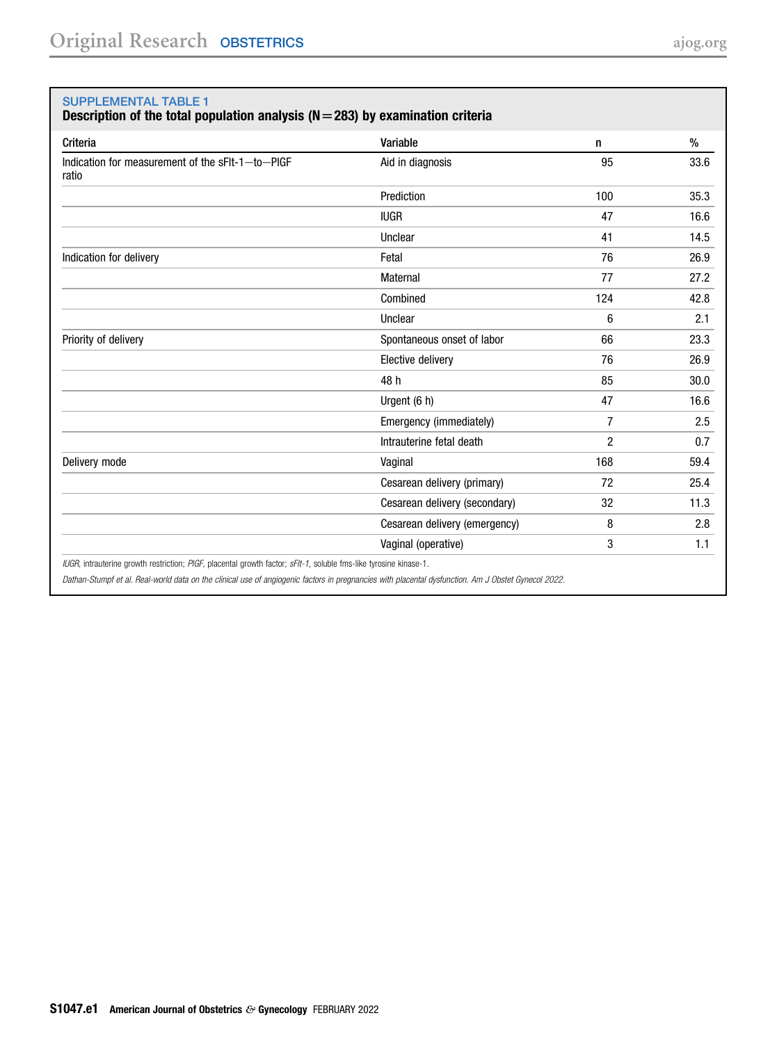#### <span id="page-11-0"></span>SUPPLEMENTAL TABLE 1

Description of the total population analysis ( $N=283$ ) by examination criteria

| Criteria                                                  | Variable                      | n              | $\%$ |
|-----------------------------------------------------------|-------------------------------|----------------|------|
| Indication for measurement of the sFIt-1-to-PIGF<br>ratio | Aid in diagnosis              | 95             | 33.6 |
|                                                           | Prediction                    | 100            | 35.3 |
|                                                           | <b>IUGR</b>                   | 47             | 16.6 |
|                                                           | Unclear                       | 41             | 14.5 |
| Indication for delivery                                   | Fetal                         | 76             | 26.9 |
|                                                           | <b>Maternal</b>               | 77             | 27.2 |
|                                                           | Combined                      | 124            | 42.8 |
|                                                           | Unclear                       | 6              | 2.1  |
| Priority of delivery                                      | Spontaneous onset of labor    | 66             | 23.3 |
|                                                           | Elective delivery             | 76             | 26.9 |
|                                                           | 48 h                          | 85             | 30.0 |
|                                                           | Urgent (6 h)                  | 47             | 16.6 |
|                                                           | Emergency (immediately)       | 7              | 2.5  |
|                                                           | Intrauterine fetal death      | $\overline{c}$ | 0.7  |
| Delivery mode                                             | Vaginal                       | 168            | 59.4 |
|                                                           | Cesarean delivery (primary)   | 72             | 25.4 |
|                                                           | Cesarean delivery (secondary) | 32             | 11.3 |
|                                                           | Cesarean delivery (emergency) | 8              | 2.8  |
|                                                           | Vaginal (operative)           | 3              | 1.1  |